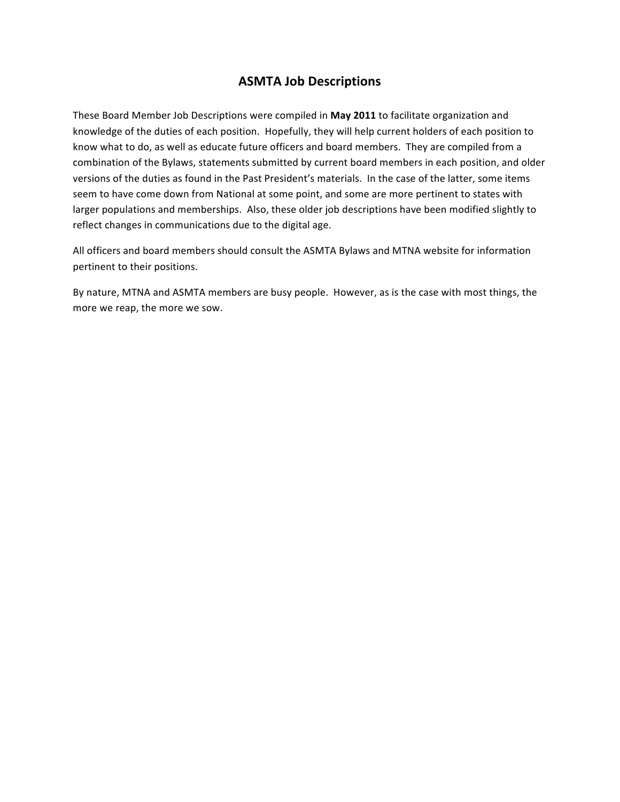# **ASMTA Job Descriptions**

These Board Member Job Descriptions were compiled in May 2011 to facilitate organization and knowledge of the duties of each position. Hopefully, they will help current holders of each position to know what to do, as well as educate future officers and board members. They are compiled from a combination of the Bylaws, statements submitted by current board members in each position, and older versions of the duties as found in the Past President's materials. In the case of the latter, some items seem to have come down from National at some point, and some are more pertinent to states with larger populations and memberships. Also, these older job descriptions have been modified slightly to reflect changes in communications due to the digital age.

All officers and board members should consult the ASMTA Bylaws and MTNA website for information pertinent to their positions.

By nature, MTNA and ASMTA members are busy people. However, as is the case with most things, the more we reap, the more we sow.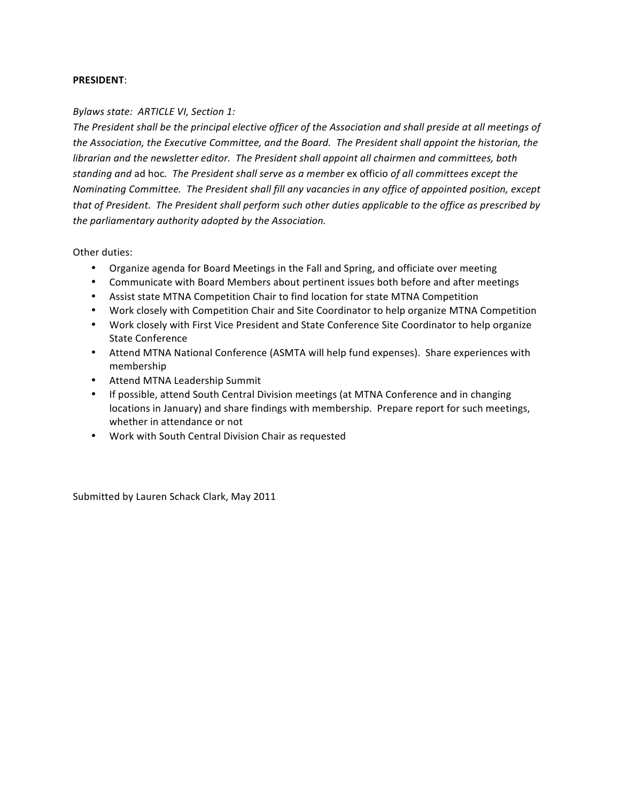#### **PRESIDENT**:

#### **Bylaws state: ARTICLE VI, Section 1:**

The President shall be the principal elective officer of the Association and shall preside at all meetings of the Association, the Executive Committee, and the Board. The President shall appoint the historian, the *librarian and the newsletter editor. The President shall appoint all chairmen and committees, both* standing and ad hoc. The President shall serve as a member ex officio of all committees except the *Nominating Committee. The President shall fill any vacancies in any office of appointed position, except* that of President. The President shall perform such other duties applicable to the office as prescribed by the parliamentary authority adopted by the Association.

Other duties:

- Organize agenda for Board Meetings in the Fall and Spring, and officiate over meeting
- Communicate with Board Members about pertinent issues both before and after meetings
- Assist state MTNA Competition Chair to find location for state MTNA Competition
- Work closely with Competition Chair and Site Coordinator to help organize MTNA Competition
- Work closely with First Vice President and State Conference Site Coordinator to help organize State Conference
- Attend MTNA National Conference (ASMTA will help fund expenses). Share experiences with membership
- Attend MTNA Leadership Summit
- If possible, attend South Central Division meetings (at MTNA Conference and in changing locations in January) and share findings with membership. Prepare report for such meetings, whether in attendance or not
- Work with South Central Division Chair as requested

Submitted by Lauren Schack Clark, May 2011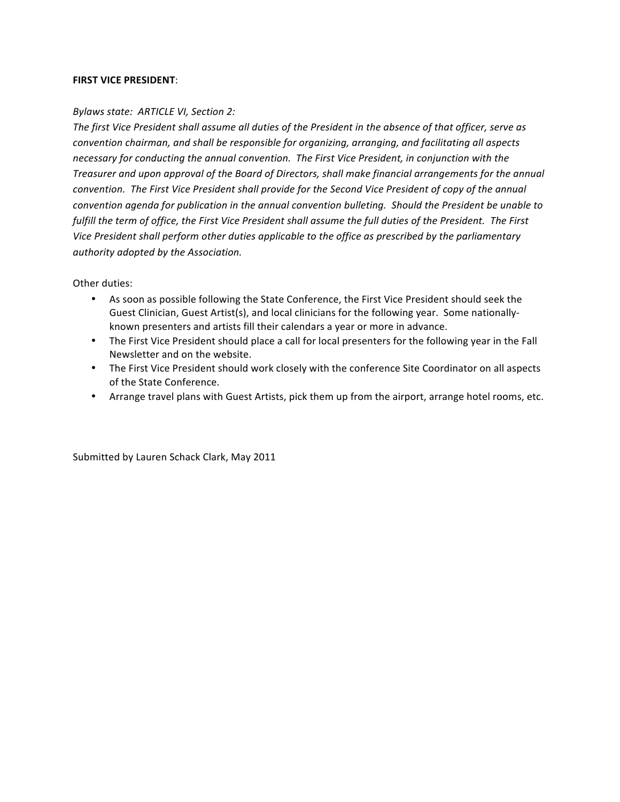#### **FIRST VICE PRESIDENT:**

#### *Bylaws state: ARTICLE VI, Section 2:*

The first Vice President shall assume all duties of the President in the absence of that officer, serve as *convention chairman, and shall be responsible for organizing, arranging, and facilitating all aspects* necessary for conducting the annual convention. The First Vice President, in conjunction with the *Treasurer* and upon approval of the Board of Directors, shall make financial arrangements for the annual *convention.* The First Vice President shall provide for the Second Vice President of copy of the annual *convention agenda for publication in the annual convention bulleting. Should the President be unable to fulfill* the term of office, the First Vice President shall assume the full duties of the President. The First Vice President shall perform other duties applicable to the office as prescribed by the parliamentary authority adopted by the Association.

## Other duties:

- As soon as possible following the State Conference, the First Vice President should seek the Guest Clinician, Guest Artist(s), and local clinicians for the following year. Some nationallyknown presenters and artists fill their calendars a year or more in advance.
- The First Vice President should place a call for local presenters for the following year in the Fall Newsletter and on the website.
- The First Vice President should work closely with the conference Site Coordinator on all aspects of the State Conference.
- Arrange travel plans with Guest Artists, pick them up from the airport, arrange hotel rooms, etc.

Submitted by Lauren Schack Clark, May 2011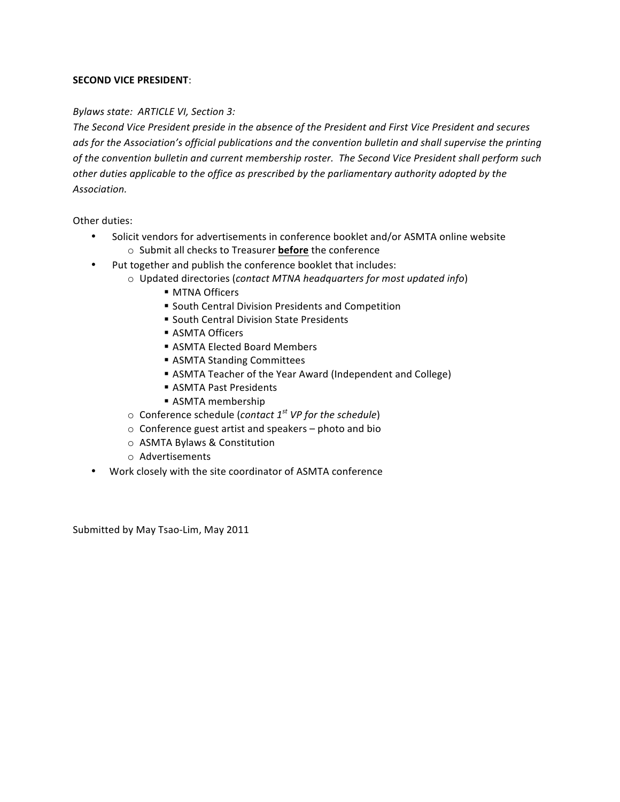## **SECOND VICE PRESIDENT:**

# *Bylaws state: ARTICLE VI, Section 3:*

The Second Vice President preside in the absence of the President and First Vice President and secures *ads* for the Association's official publications and the convention bulletin and shall supervise the printing of the convention bulletin and current membership roster. The Second Vice President shall perform such other duties applicable to the office as prescribed by the parliamentary authority adopted by the *Association.*

Other duties:

- Solicit vendors for advertisements in conference booklet and/or ASMTA online website o Submit all checks to Treasurer **before** the conference
- Put together and publish the conference booklet that includes:
	- o Updated directories (*contact MTNA headquarters for most updated info*)
		- MTNA Officers
		- South Central Division Presidents and Competition
		- South Central Division State Presidents
		- ASMTA Officers
		- ASMTA Elected Board Members
		- ASMTA Standing Committees
		- ASMTA Teacher of the Year Award (Independent and College)
		- ASMTA Past Presidents
		- ASMTA membership
	- $\circ$  Conference schedule (*contact* 1<sup>st</sup> VP for the schedule)
	- $\circ$  Conference guest artist and speakers photo and bio
	- o ASMTA Bylaws & Constitution
	- o Advertisements
- Work closely with the site coordinator of ASMTA conference

Submitted by May Tsao-Lim, May 2011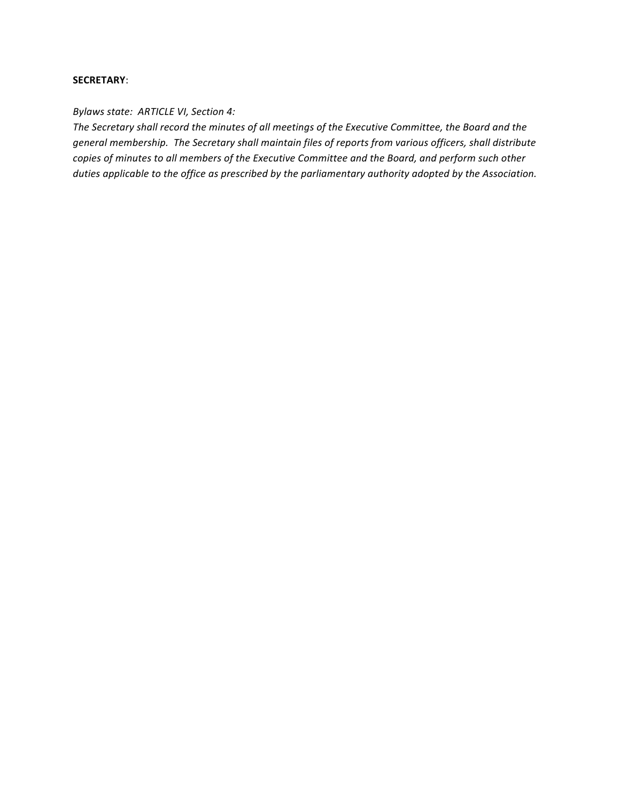#### **SECRETARY**:

#### *Bylaws state: ARTICLE VI, Section 4:*

The Secretary shall record the minutes of all meetings of the Executive Committee, the Board and the general membership. The Secretary shall maintain files of reports from various officers, shall distribute copies of minutes to all members of the Executive Committee and the Board, and perform such other *duties applicable to the office as prescribed by the parliamentary authority adopted by the Association.*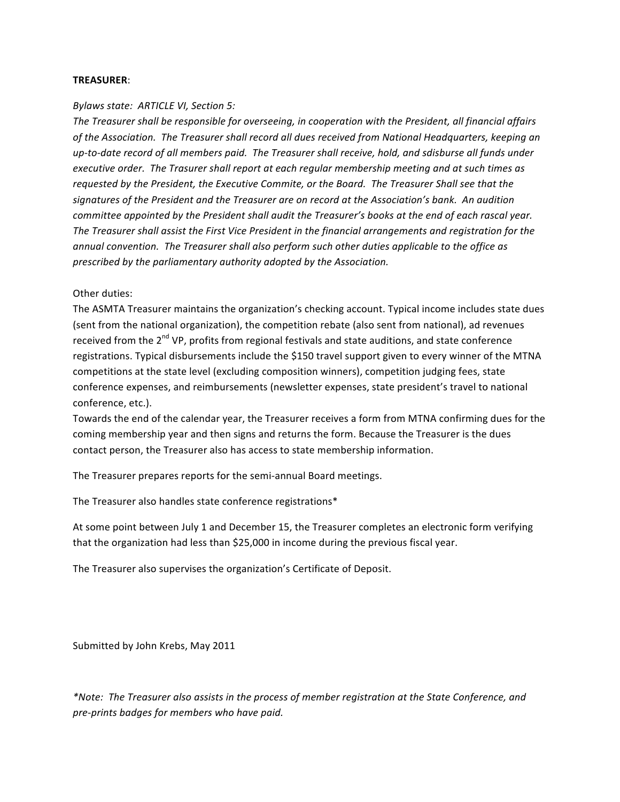#### **TREASURER**:

#### *Bylaws state: ARTICLE VI, Section 5:*

The Treasurer shall be responsible for overseeing, in cooperation with the President, all financial affairs of the Association. The Treasurer shall record all dues received from National Headquarters, keeping an up-to-date record of all members paid. The Treasurer shall receive, hold, and sdisburse all funds under *executive order.* The Trasurer shall report at each regular membership meeting and at such times as requested by the President, the Executive Commite, or the Board. The Treasurer Shall see that the signatures of the President and the Treasurer are on record at the Association's bank. An audition *committee appointed by the President shall audit the Treasurer's books at the end of each rascal year.* The Treasurer shall assist the First Vice President in the financial arrangements and registration for the annual convention. The Treasurer shall also perform such other duties applicable to the office as *prescribed by the parliamentary authority adopted by the Association.*

Other duties:

The ASMTA Treasurer maintains the organization's checking account. Typical income includes state dues (sent from the national organization), the competition rebate (also sent from national), ad revenues received from the 2<sup>nd</sup> VP, profits from regional festivals and state auditions, and state conference registrations. Typical disbursements include the \$150 travel support given to every winner of the MTNA competitions at the state level (excluding composition winners), competition judging fees, state conference expenses, and reimbursements (newsletter expenses, state president's travel to national conference, etc.).

Towards the end of the calendar year, the Treasurer receives a form from MTNA confirming dues for the coming membership year and then signs and returns the form. Because the Treasurer is the dues contact person, the Treasurer also has access to state membership information.

The Treasurer prepares reports for the semi-annual Board meetings.

The Treasurer also handles state conference registrations\*

At some point between July 1 and December 15, the Treasurer completes an electronic form verifying that the organization had less than \$25,000 in income during the previous fiscal year.

The Treasurer also supervises the organization's Certificate of Deposit.

Submitted by John Krebs, May 2011

*\*Note: The Treasurer also assists in the process of member registration at the State Conference, and pre-prints badges for members who have paid.*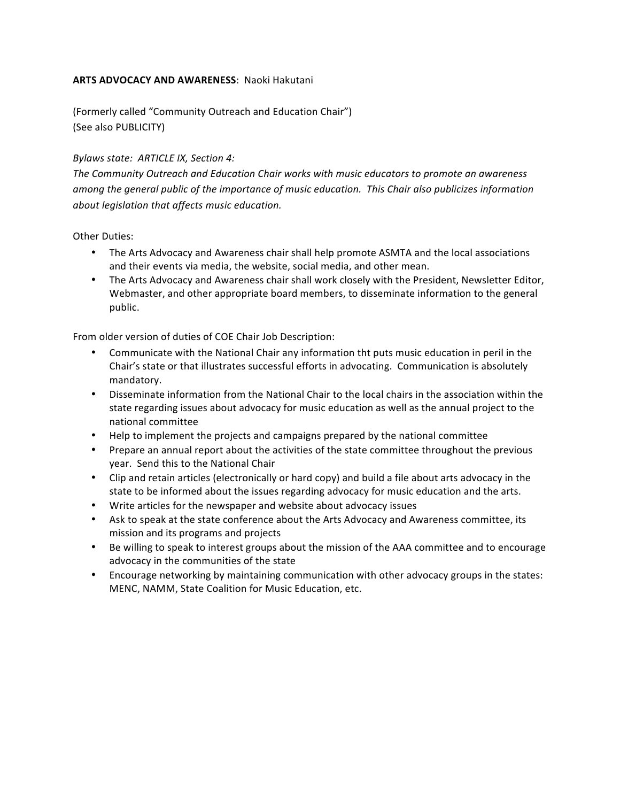# **ARTS ADVOCACY AND AWARENESS: Naoki Hakutani**

(Formerly called "Community Outreach and Education Chair") (See also PUBLICITY)

## *Bylaws state: ARTICLE IX, Section 4:*

The Community Outreach and Education Chair works with music educators to promote an awareness among the general public of the importance of music education. This Chair also publicizes information *about legislation that affects music education.*

Other Duties:

- The Arts Advocacy and Awareness chair shall help promote ASMTA and the local associations and their events via media, the website, social media, and other mean.
- The Arts Advocacy and Awareness chair shall work closely with the President, Newsletter Editor, Webmaster, and other appropriate board members, to disseminate information to the general public.

From older version of duties of COE Chair Job Description:

- Communicate with the National Chair any information tht puts music education in peril in the Chair's state or that illustrates successful efforts in advocating. Communication is absolutely mandatory.
- Disseminate information from the National Chair to the local chairs in the association within the state regarding issues about advocacy for music education as well as the annual project to the national committee
- Help to implement the projects and campaigns prepared by the national committee
- Prepare an annual report about the activities of the state committee throughout the previous year. Send this to the National Chair
- Clip and retain articles (electronically or hard copy) and build a file about arts advocacy in the state to be informed about the issues regarding advocacy for music education and the arts.
- Write articles for the newspaper and website about advocacy issues
- Ask to speak at the state conference about the Arts Advocacy and Awareness committee, its mission and its programs and projects
- Be willing to speak to interest groups about the mission of the AAA committee and to encourage advocacy in the communities of the state
- Encourage networking by maintaining communication with other advocacy groups in the states: MENC, NAMM, State Coalition for Music Education, etc.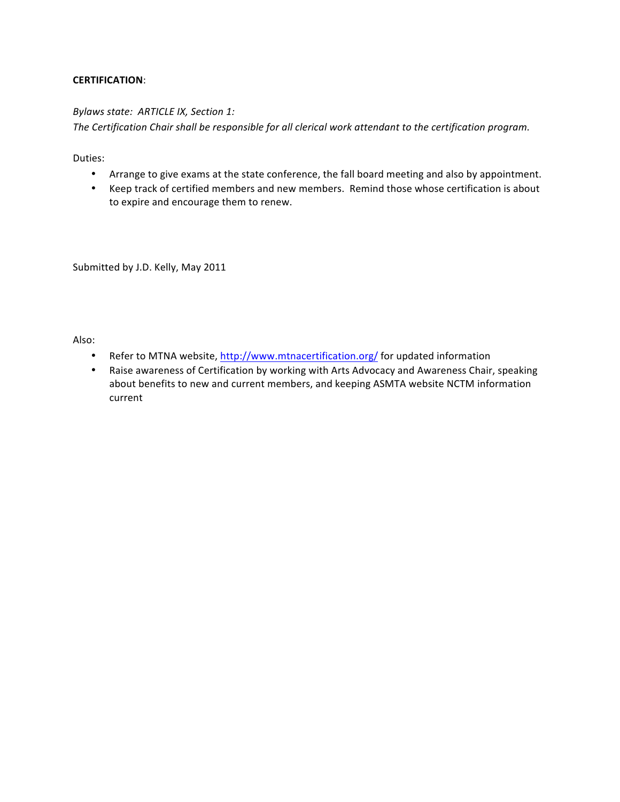# **CERTIFICATION**:

## **Bylaws state: ARTICLE IX, Section 1:**

The Certification Chair shall be responsible for all clerical work attendant to the certification program.

Duties:

- Arrange to give exams at the state conference, the fall board meeting and also by appointment.
- Keep track of certified members and new members. Remind those whose certification is about to expire and encourage them to renew.

Submitted by J.D. Kelly, May 2011

Also:

- Refer to MTNA website, http://www.mtnacertification.org/ for updated information
- Raise awareness of Certification by working with Arts Advocacy and Awareness Chair, speaking about benefits to new and current members, and keeping ASMTA website NCTM information current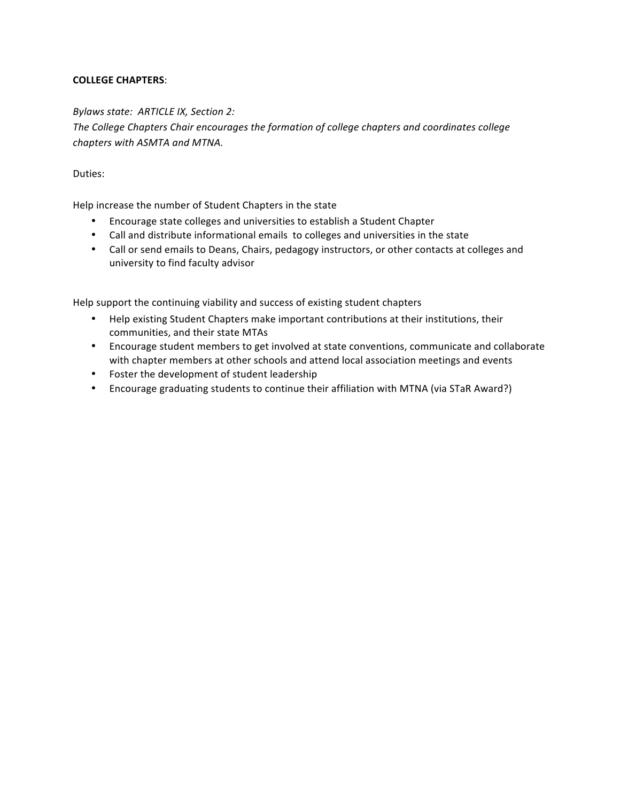# **COLLEGE CHAPTERS**:

## *Bylaws state: ARTICLE IX, Section 2:*

The College Chapters Chair encourages the formation of college chapters and coordinates college *chapters with ASMTA and MTNA.*

## Duties:

Help increase the number of Student Chapters in the state

- Encourage state colleges and universities to establish a Student Chapter
- Call and distribute informational emails to colleges and universities in the state
- Call or send emails to Deans, Chairs, pedagogy instructors, or other contacts at colleges and university to find faculty advisor

Help support the continuing viability and success of existing student chapters

- Help existing Student Chapters make important contributions at their institutions, their communities, and their state MTAs
- Encourage student members to get involved at state conventions, communicate and collaborate with chapter members at other schools and attend local association meetings and events
- Foster the development of student leadership
- Encourage graduating students to continue their affiliation with MTNA (via STaR Award?)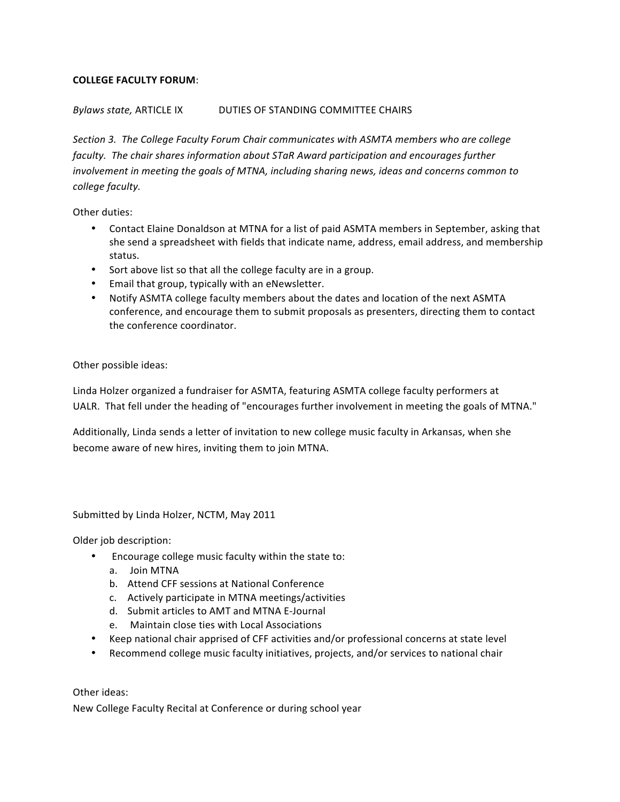# **COLLEGE FACULTY FORUM**:

## *Bylaws state,* ARTICLE IX DUTIES OF STANDING COMMITTEE CHAIRS

Section 3. The College Faculty Forum Chair communicates with ASMTA members who are college *faculty.* The chair shares information about STaR Award participation and encourages further *involvement in meeting the goals of MTNA, including sharing news, ideas and concerns common to college faculty.*

Other duties:

- Contact Elaine Donaldson at MTNA for a list of paid ASMTA members in September, asking that she send a spreadsheet with fields that indicate name, address, email address, and membership status.
- Sort above list so that all the college faculty are in a group.
- Email that group, typically with an eNewsletter.
- Notify ASMTA college faculty members about the dates and location of the next ASMTA conference, and encourage them to submit proposals as presenters, directing them to contact the conference coordinator.

## Other possible ideas:

Linda Holzer organized a fundraiser for ASMTA, featuring ASMTA college faculty performers at UALR. That fell under the heading of "encourages further involvement in meeting the goals of MTNA."

Additionally, Linda sends a letter of invitation to new college music faculty in Arkansas, when she become aware of new hires, inviting them to join MTNA.

Submitted by Linda Holzer, NCTM, May 2011

Older job description:

- Encourage college music faculty within the state to:
	- a. Join MTNA
	- b. Attend CFF sessions at National Conference
	- c. Actively participate in MTNA meetings/activities
	- d. Submit articles to AMT and MTNA E-Journal
	- e. Maintain close ties with Local Associations
- Keep national chair apprised of CFF activities and/or professional concerns at state level
- Recommend college music faculty initiatives, projects, and/or services to national chair

Other ideas:

New College Faculty Recital at Conference or during school year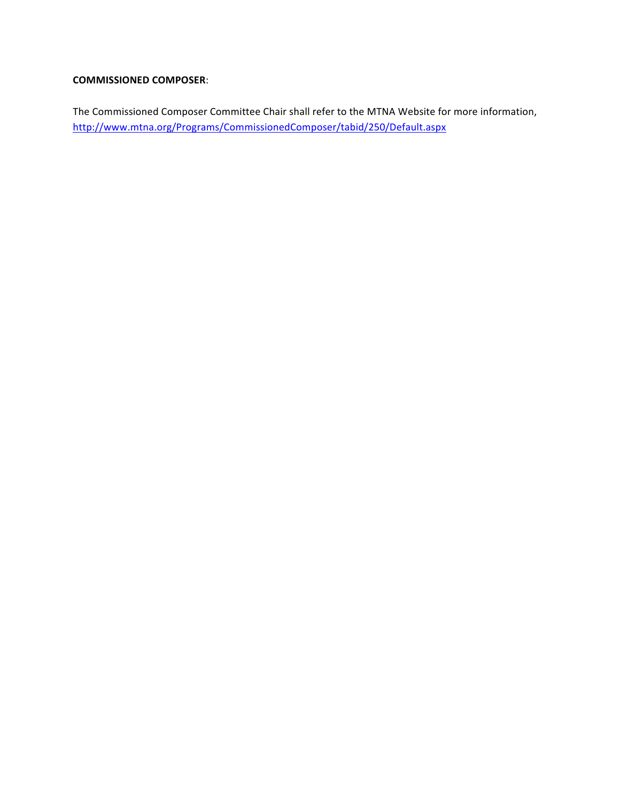# **COMMISSIONED COMPOSER**:

The Commissioned Composer Committee Chair shall refer to the MTNA Website for more information, http://www.mtna.org/Programs/CommissionedComposer/tabid/250/Default.aspx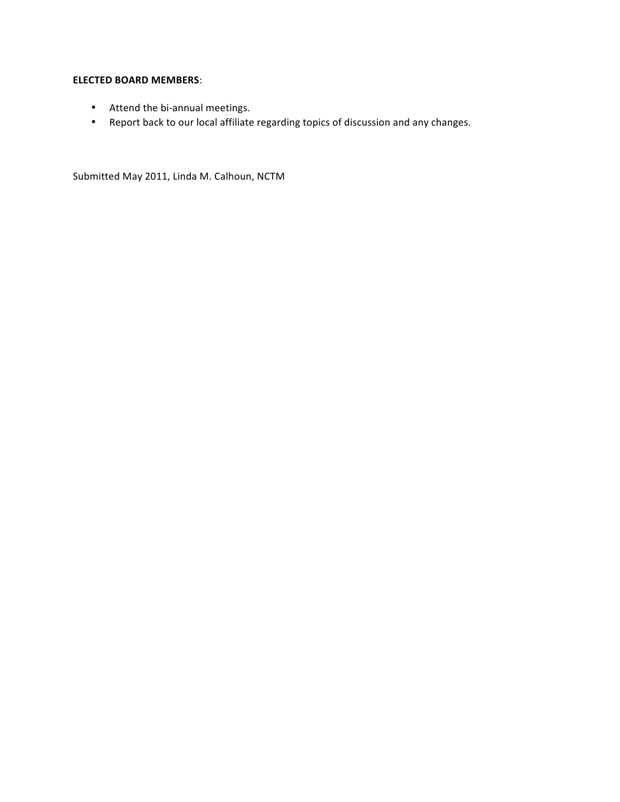# **ELECTED BOARD MEMBERS:**

- Attend the bi-annual meetings.
- Report back to our local affiliate regarding topics of discussion and any changes.

Submitted May 2011, Linda M. Calhoun, NCTM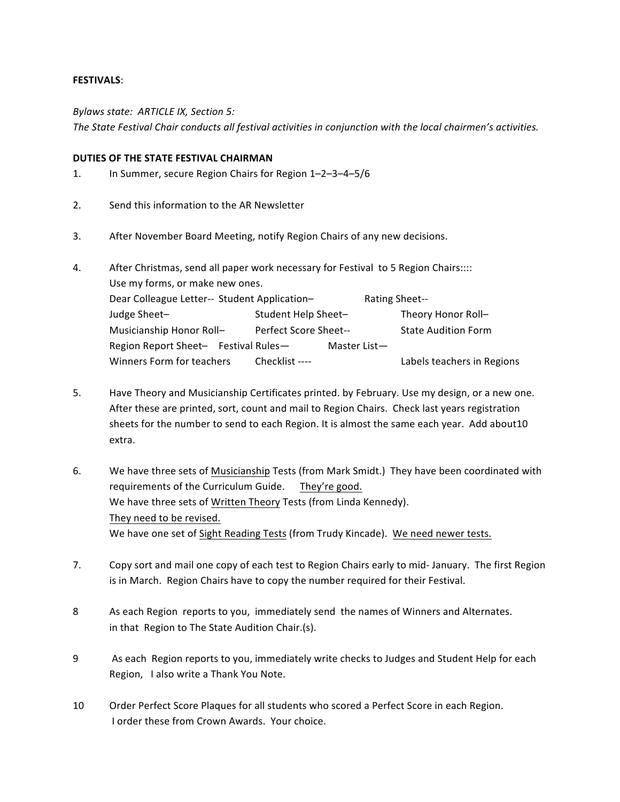#### **FESTIVALS**:

*Bylaws state: ARTICLE IX, Section 5:*

The State Festival Chair conducts all festival activities in conjunction with the local chairmen's activities.

#### **DUTIES OF THE STATE FESTIVAL CHAIRMAN**

- 1. In Summer, secure Region Chairs for Region 1-2-3-4-5/6
- 2. Send this information to the AR Newsletter
- 3. After November Board Meeting, notify Region Chairs of any new decisions.

| 4. | After Christmas, send all paper work necessary for Festival to 5 Region Chairs:::: |                       |                |                            |
|----|------------------------------------------------------------------------------------|-----------------------|----------------|----------------------------|
|    | Use my forms, or make new ones.                                                    |                       |                |                            |
|    | Dear Colleague Letter-- Student Application-                                       |                       | Rating Sheet-- |                            |
|    | Judge Sheet-                                                                       | Student Help Sheet-   |                | Theory Honor Roll-         |
|    | Musicianship Honor Roll-                                                           | Perfect Score Sheet-- |                | <b>State Audition Form</b> |
|    | Region Report Sheet- Festival Rules-                                               |                       | Master List-   |                            |
|    | Winners Form for teachers                                                          | Checklist ----        |                | Labels teachers in Regions |

- 5. Have Theory and Musicianship Certificates printed. by February. Use my design, or a new one. After these are printed, sort, count and mail to Region Chairs. Check last years registration sheets for the number to send to each Region. It is almost the same each year. Add about10 extra.
- 6. We have three sets of Musicianship Tests (from Mark Smidt.) They have been coordinated with requirements of the Curriculum Guide. They're good. We have three sets of Written Theory Tests (from Linda Kennedy). They need to be revised. We have one set of Sight Reading Tests (from Trudy Kincade). We need newer tests.
- 7. Copy sort and mail one copy of each test to Region Chairs early to mid-January. The first Region is in March. Region Chairs have to copy the number required for their Festival.
- 8 As each Region reports to you, immediately send the names of Winners and Alternates. in that Region to The State Audition Chair.(s).
- 9 As each Region reports to you, immediately write checks to Judges and Student Help for each Region, I also write a Thank You Note.
- 10 Order Perfect Score Plaques for all students who scored a Perfect Score in each Region. I order these from Crown Awards. Your choice.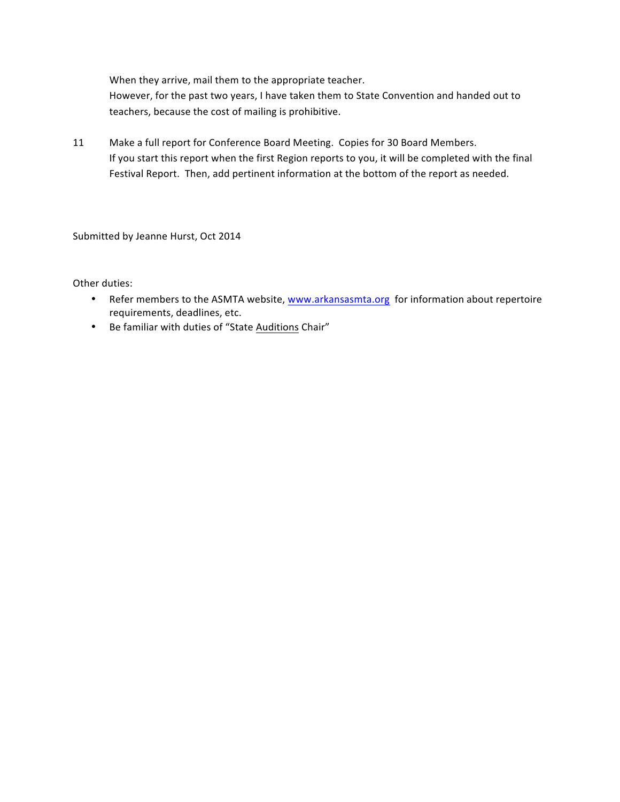When they arrive, mail them to the appropriate teacher.

However, for the past two years, I have taken them to State Convention and handed out to teachers, because the cost of mailing is prohibitive.

11 Make a full report for Conference Board Meeting. Copies for 30 Board Members. If you start this report when the first Region reports to you, it will be completed with the final Festival Report. Then, add pertinent information at the bottom of the report as needed.

Submitted by Jeanne Hurst, Oct 2014

Other duties:

- Refer members to the ASMTA website, www.arkansasmta.org for information about repertoire requirements, deadlines, etc.
- Be familiar with duties of "State Auditions Chair"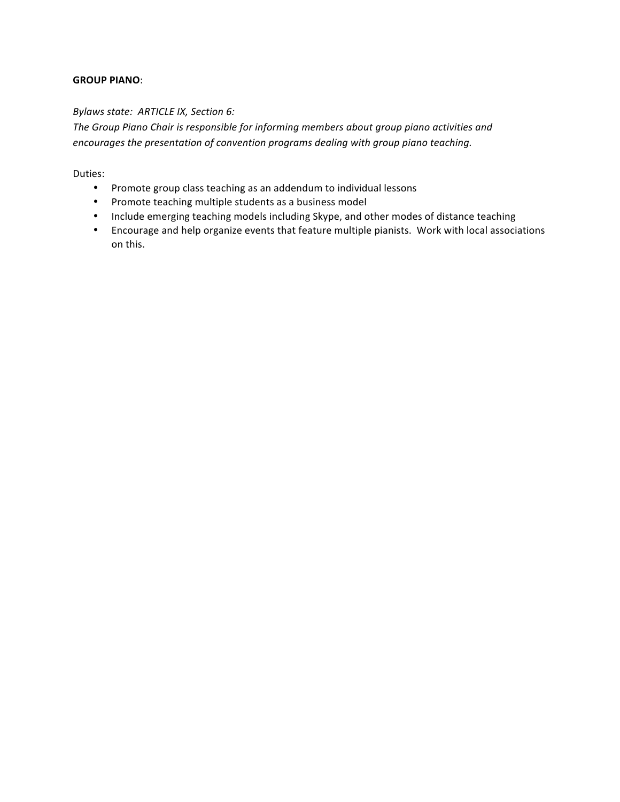# **GROUP PIANO**:

## **Bylaws state: ARTICLE IX, Section 6:**

The Group Piano Chair is responsible for informing members about group piano activities and *encourages the presentation of convention programs dealing with group piano teaching.* 

Duties:

- Promote group class teaching as an addendum to individual lessons
- Promote teaching multiple students as a business model
- Include emerging teaching models including Skype, and other modes of distance teaching
- Encourage and help organize events that feature multiple pianists. Work with local associations on this.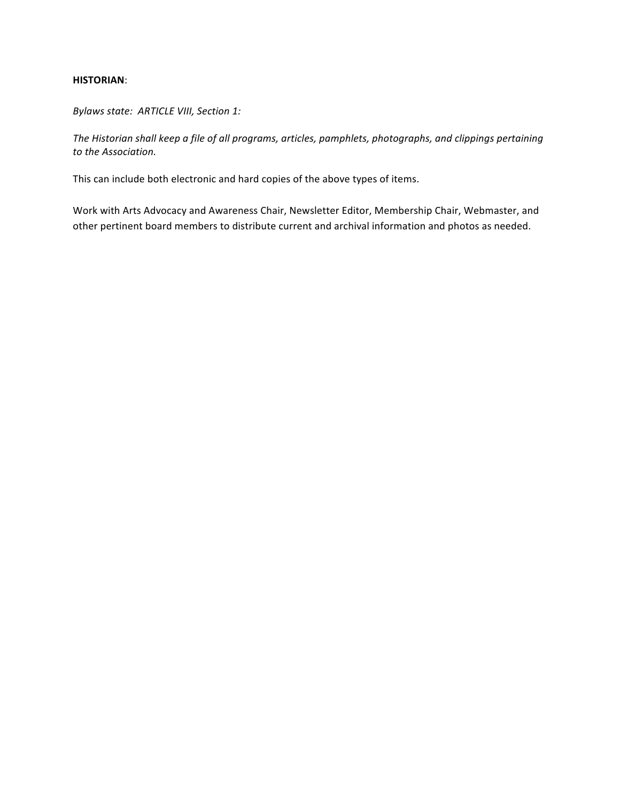#### **HISTORIAN**:

*Bylaws state: ARTICLE VIII, Section 1:*

The Historian shall keep a file of all programs, articles, pamphlets, photographs, and clippings pertaining *to the Association.*

This can include both electronic and hard copies of the above types of items.

Work with Arts Advocacy and Awareness Chair, Newsletter Editor, Membership Chair, Webmaster, and other pertinent board members to distribute current and archival information and photos as needed.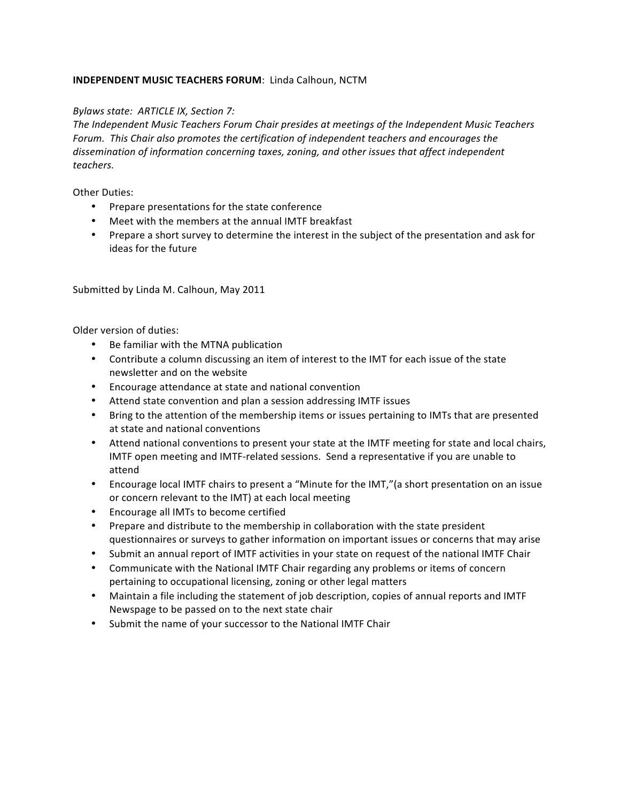# **INDEPENDENT MUSIC TEACHERS FORUM: Linda Calhoun, NCTM**

# *Bylaws state: ARTICLE IX, Section 7:*

The Independent Music Teachers Forum Chair presides at meetings of the Independent Music Teachers Forum. This Chair also promotes the certification of independent teachers and encourages the dissemination of information concerning taxes, zoning, and other issues that affect independent *teachers.*

Other Duties:

- Prepare presentations for the state conference
- Meet with the members at the annual IMTF breakfast
- Prepare a short survey to determine the interest in the subject of the presentation and ask for ideas for the future

Submitted by Linda M. Calhoun, May 2011

Older version of duties:

- Be familiar with the MTNA publication
- Contribute a column discussing an item of interest to the IMT for each issue of the state newsletter and on the website
- Encourage attendance at state and national convention
- Attend state convention and plan a session addressing IMTF issues
- Bring to the attention of the membership items or issues pertaining to IMTs that are presented at state and national conventions
- Attend national conventions to present your state at the IMTF meeting for state and local chairs, IMTF open meeting and IMTF-related sessions. Send a representative if you are unable to attend
- Encourage local IMTF chairs to present a "Minute for the IMT," (a short presentation on an issue or concern relevant to the IMT) at each local meeting
- Encourage all IMTs to become certified
- Prepare and distribute to the membership in collaboration with the state president questionnaires or surveys to gather information on important issues or concerns that may arise
- Submit an annual report of IMTF activities in your state on request of the national IMTF Chair
- Communicate with the National IMTF Chair regarding any problems or items of concern pertaining to occupational licensing, zoning or other legal matters
- Maintain a file including the statement of job description, copies of annual reports and IMTF Newspage to be passed on to the next state chair
- Submit the name of your successor to the National IMTF Chair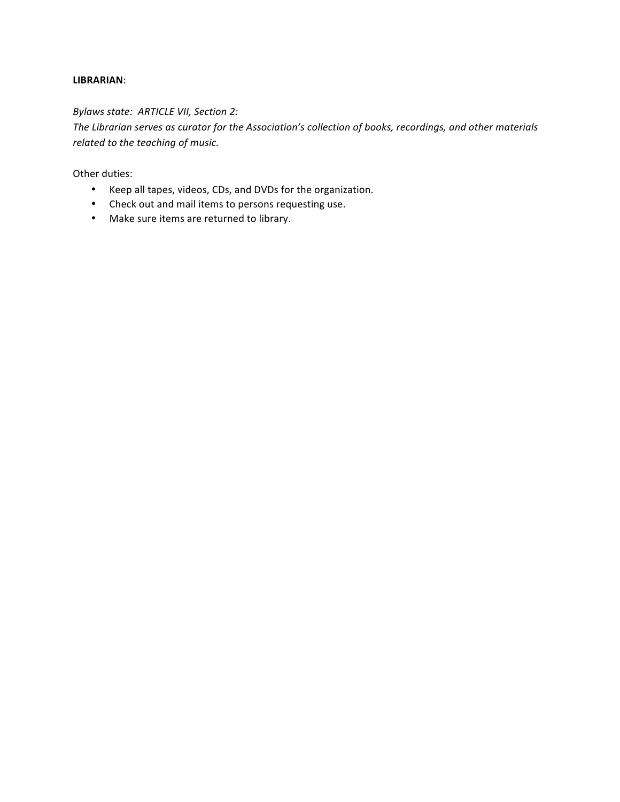#### **LIBRARIAN**:

# **Bylaws state: ARTICLE VII, Section 2:**

The Librarian serves as curator for the Association's collection of books, recordings, and other materials *related to the teaching of music.* 

Other duties:

- Keep all tapes, videos, CDs, and DVDs for the organization.
- Check out and mail items to persons requesting use.
- Make sure items are returned to library.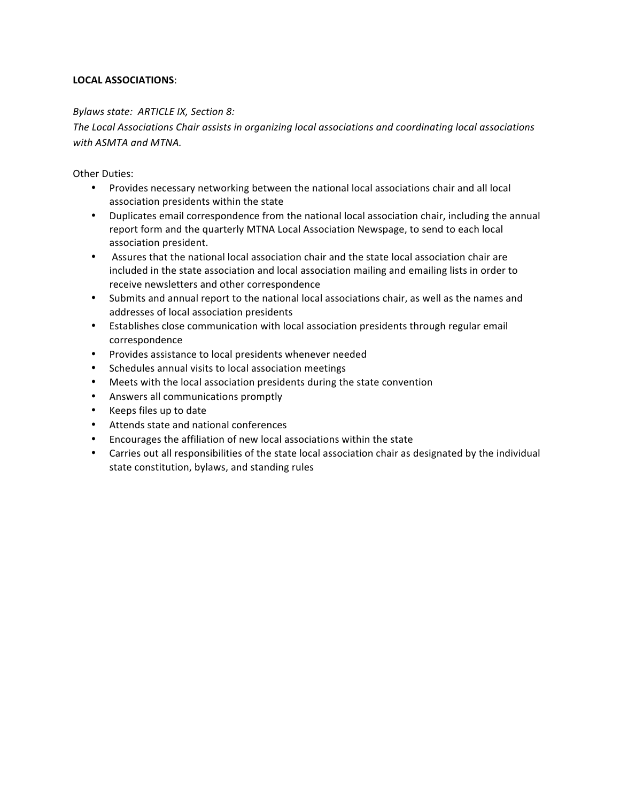# **LOCAL ASSOCIATIONS**:

## *Bylaws state: ARTICLE IX, Section 8:*

The Local Associations Chair assists in organizing local associations and coordinating local associations *with ASMTA and MTNA.*

**Other Duties:** 

- Provides necessary networking between the national local associations chair and all local association presidents within the state
- Duplicates email correspondence from the national local association chair, including the annual report form and the quarterly MTNA Local Association Newspage, to send to each local association president.
- Assures that the national local association chair and the state local association chair are included in the state association and local association mailing and emailing lists in order to receive newsletters and other correspondence
- Submits and annual report to the national local associations chair, as well as the names and addresses of local association presidents
- Establishes close communication with local association presidents through regular email correspondence
- Provides assistance to local presidents whenever needed
- Schedules annual visits to local association meetings
- Meets with the local association presidents during the state convention
- Answers all communications promptly
- Keeps files up to date
- Attends state and national conferences
- Encourages the affiliation of new local associations within the state
- Carries out all responsibilities of the state local association chair as designated by the individual state constitution, bylaws, and standing rules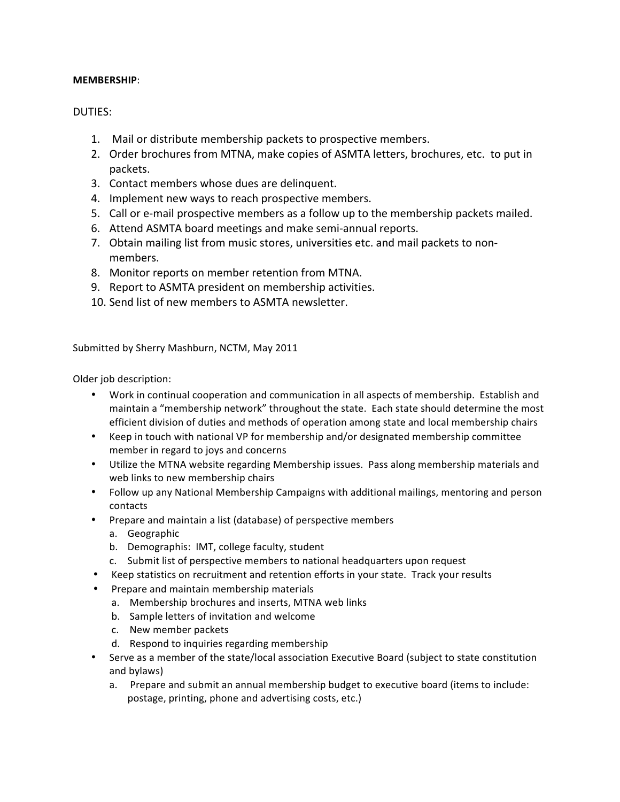## **MEMBERSHIP**:

# DUTIES:

- 1. Mail or distribute membership packets to prospective members.
- 2. Order brochures from MTNA, make copies of ASMTA letters, brochures, etc. to put in packets.
- 3. Contact members whose dues are delinquent.
- 4. Implement new ways to reach prospective members.
- 5. Call or e-mail prospective members as a follow up to the membership packets mailed.
- 6. Attend ASMTA board meetings and make semi-annual reports.
- 7. Obtain mailing list from music stores, universities etc. and mail packets to nonmembers.
- 8. Monitor reports on member retention from MTNA.
- 9. Report to ASMTA president on membership activities.
- 10. Send list of new members to ASMTA newsletter.

Submitted by Sherry Mashburn, NCTM, May 2011

Older job description:

- Work in continual cooperation and communication in all aspects of membership. Establish and maintain a "membership network" throughout the state. Each state should determine the most efficient division of duties and methods of operation among state and local membership chairs
- Keep in touch with national VP for membership and/or designated membership committee member in regard to joys and concerns
- Utilize the MTNA website regarding Membership issues. Pass along membership materials and web links to new membership chairs
- Follow up any National Membership Campaigns with additional mailings, mentoring and person contacts
- Prepare and maintain a list (database) of perspective members
	- a. Geographic
	- b. Demographis: IMT, college faculty, student
	- c. Submit list of perspective members to national headquarters upon request
- Keep statistics on recruitment and retention efforts in your state. Track your results
- Prepare and maintain membership materials
	- a. Membership brochures and inserts, MTNA web links
	- b. Sample letters of invitation and welcome
	- c. New member packets
	- d. Respond to inquiries regarding membership
- Serve as a member of the state/local association Executive Board (subject to state constitution and bylaws)
	- a. Prepare and submit an annual membership budget to executive board (items to include: postage, printing, phone and advertising costs, etc.)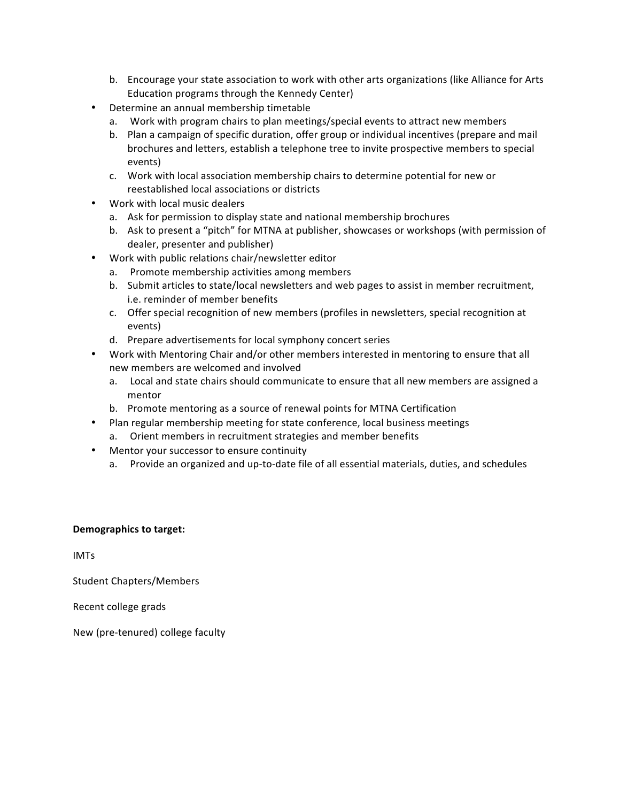- b. Encourage your state association to work with other arts organizations (like Alliance for Arts Education programs through the Kennedy Center)
- Determine an annual membership timetable
	- a. Work with program chairs to plan meetings/special events to attract new members
	- b. Plan a campaign of specific duration, offer group or individual incentives (prepare and mail brochures and letters, establish a telephone tree to invite prospective members to special events)
	- c. Work with local association membership chairs to determine potential for new or reestablished local associations or districts
- Work with local music dealers
	- a. Ask for permission to display state and national membership brochures
	- b. Ask to present a "pitch" for MTNA at publisher, showcases or workshops (with permission of dealer, presenter and publisher)
- Work with public relations chair/newsletter editor
	- a. Promote membership activities among members
	- b. Submit articles to state/local newsletters and web pages to assist in member recruitment, i.e. reminder of member benefits
	- c. Offer special recognition of new members (profiles in newsletters, special recognition at events)
	- d. Prepare advertisements for local symphony concert series
- Work with Mentoring Chair and/or other members interested in mentoring to ensure that all new members are welcomed and involved
	- a. Local and state chairs should communicate to ensure that all new members are assigned a mentor
	- b. Promote mentoring as a source of renewal points for MTNA Certification
- Plan regular membership meeting for state conference, local business meetings
	- a. Orient members in recruitment strategies and member benefits
- Mentor your successor to ensure continuity
	- a. Provide an organized and up-to-date file of all essential materials, duties, and schedules

## **Demographics to target:**

IMTs

Student Chapters/Members

Recent college grads

New (pre-tenured) college faculty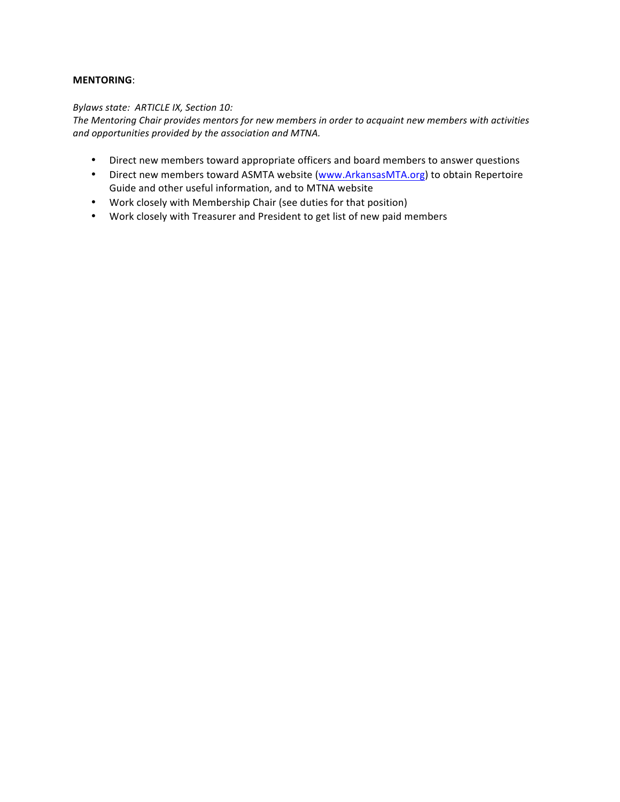## **MENTORING**:

#### *Bylaws state: ARTICLE IX, Section 10:*

The Mentoring Chair provides mentors for new members in order to acquaint new members with activities and opportunities provided by the association and MTNA.

- Direct new members toward appropriate officers and board members to answer questions
- Direct new members toward ASMTA website (www.ArkansasMTA.org) to obtain Repertoire Guide and other useful information, and to MTNA website
- Work closely with Membership Chair (see duties for that position)
- Work closely with Treasurer and President to get list of new paid members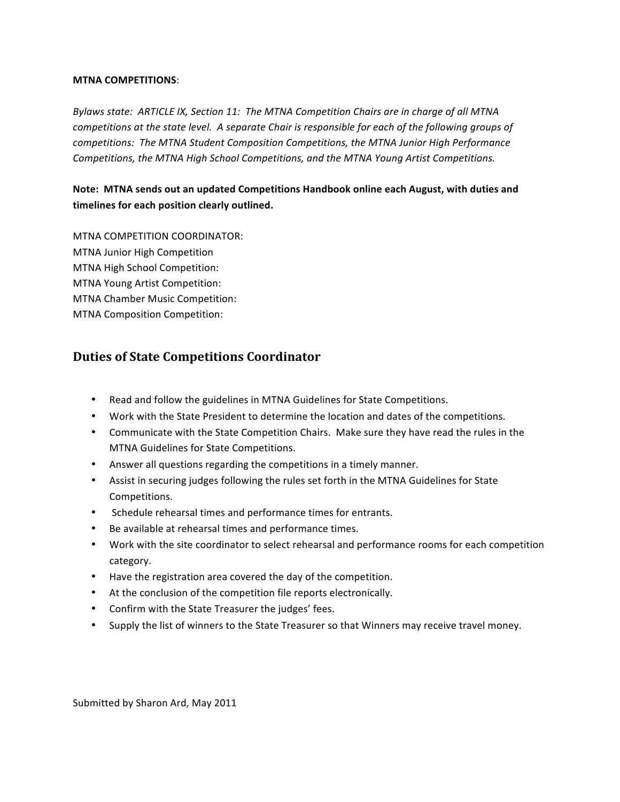#### **MTNA COMPETITIONS**:

Bylaws state: ARTICLE IX, Section 11: The MTNA Competition Chairs are in charge of all MTNA *competitions at the state level. A separate Chair is responsible for each of the following groups of* competitions: The MTNA Student Composition Competitions, the MTNA Junior High Performance Competitions, the MTNA High School Competitions, and the MTNA Young Artist Competitions.

# Note: MTNA sends out an updated Competitions Handbook online each August, with duties and timelines for each position clearly outlined.

MTNA COMPETITION COORDINATOR: **MTNA Junior High Competition** MTNA High School Competition: MTNA Young Artist Competition: MTNA Chamber Music Competition: MTNA Composition Competition:

# **Duties of State Competitions Coordinator**

- Read and follow the guidelines in MTNA Guidelines for State Competitions.
- Work with the State President to determine the location and dates of the competitions.
- Communicate with the State Competition Chairs. Make sure they have read the rules in the MTNA Guidelines for State Competitions.
- Answer all questions regarding the competitions in a timely manner.
- Assist in securing judges following the rules set forth in the MTNA Guidelines for State Competitions.
- Schedule rehearsal times and performance times for entrants.
- Be available at rehearsal times and performance times.
- Work with the site coordinator to select rehearsal and performance rooms for each competition category.
- Have the registration area covered the day of the competition.
- At the conclusion of the competition file reports electronically.
- Confirm with the State Treasurer the judges' fees.
- Supply the list of winners to the State Treasurer so that Winners may receive travel money.

Submitted by Sharon Ard, May 2011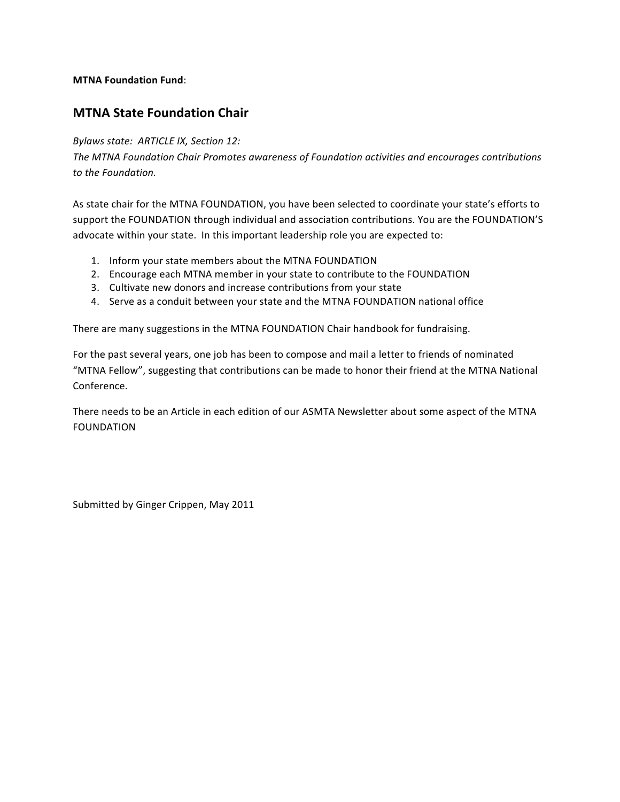## **MTNA Foundation Fund:**

# **MTNA State Foundation Chair**

# *Bylaws state: ARTICLE IX, Section 12:*

The MTNA Foundation Chair Promotes awareness of Foundation activities and encourages contributions *to the Foundation.*

As state chair for the MTNA FOUNDATION, you have been selected to coordinate your state's efforts to support the FOUNDATION through individual and association contributions. You are the FOUNDATION'S advocate within your state. In this important leadership role you are expected to:

- 1. Inform your state members about the MTNA FOUNDATION
- 2. Encourage each MTNA member in your state to contribute to the FOUNDATION
- 3. Cultivate new donors and increase contributions from your state
- 4. Serve as a conduit between your state and the MTNA FOUNDATION national office

There are many suggestions in the MTNA FOUNDATION Chair handbook for fundraising.

For the past several years, one job has been to compose and mail a letter to friends of nominated "MTNA Fellow", suggesting that contributions can be made to honor their friend at the MTNA National Conference.

There needs to be an Article in each edition of our ASMTA Newsletter about some aspect of the MTNA FOUNDATION

Submitted by Ginger Crippen, May 2011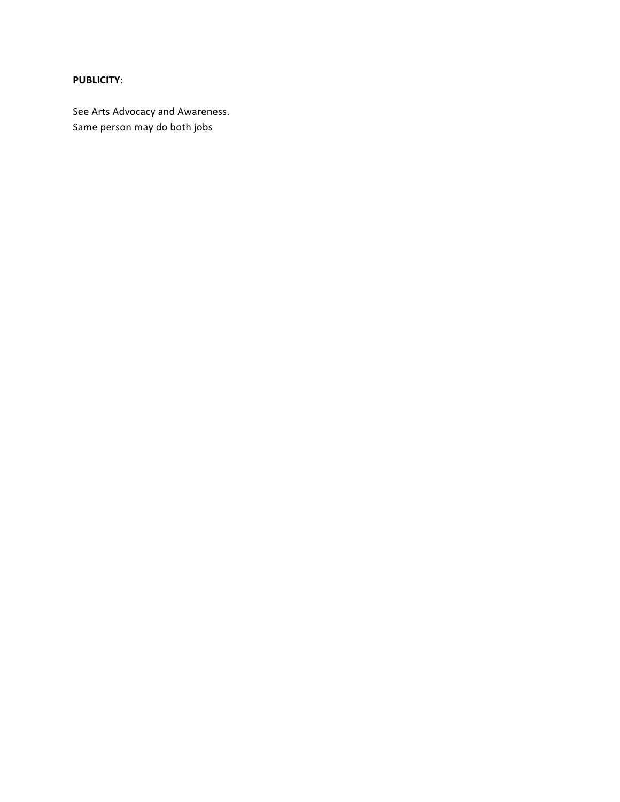# **PUBLICITY**:

See Arts Advocacy and Awareness. Same person may do both jobs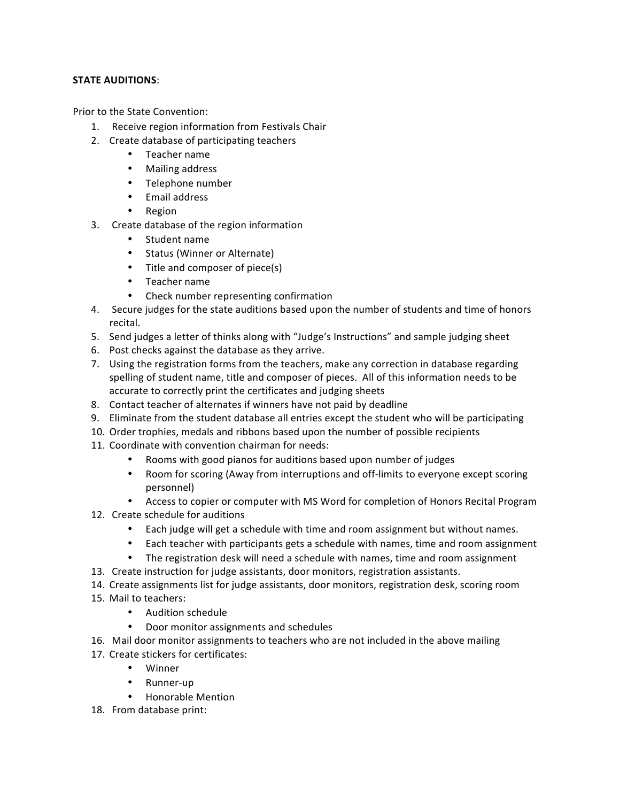## **STATE AUDITIONS:**

Prior to the State Convention:

- 1. Receive region information from Festivals Chair
- 2. Create database of participating teachers
	- Teacher name
	- Mailing address
	- Telephone number
	- Email address
	- Region
- 3. Create database of the region information
	- Student name
	- Status (Winner or Alternate)
	- Title and composer of piece(s)
	- Teacher name
	- Check number representing confirmation
- 4. Secure judges for the state auditions based upon the number of students and time of honors recital.
- 5. Send judges a letter of thinks along with "Judge's Instructions" and sample judging sheet
- 6. Post checks against the database as they arrive.
- 7. Using the registration forms from the teachers, make any correction in database regarding spelling of student name, title and composer of pieces. All of this information needs to be accurate to correctly print the certificates and judging sheets
- 8. Contact teacher of alternates if winners have not paid by deadline
- 9. Eliminate from the student database all entries except the student who will be participating
- 10. Order trophies, medals and ribbons based upon the number of possible recipients
- 11. Coordinate with convention chairman for needs:
	- Rooms with good pianos for auditions based upon number of judges
	- Room for scoring (Away from interruptions and off-limits to everyone except scoring personnel)
	- Access to copier or computer with MS Word for completion of Honors Recital Program
- 12. Create schedule for auditions
	- Each judge will get a schedule with time and room assignment but without names.
	- Each teacher with participants gets a schedule with names, time and room assignment
	- The registration desk will need a schedule with names, time and room assignment
- 13. Create instruction for judge assistants, door monitors, registration assistants.
- 14. Create assignments list for judge assistants, door monitors, registration desk, scoring room
- 15. Mail to teachers:
	- Audition schedule
	- Door monitor assignments and schedules
- 16. Mail door monitor assignments to teachers who are not included in the above mailing
- 17. Create stickers for certificates:
	- Winner
	- Runner-up
	- Honorable Mention
- 18. From database print: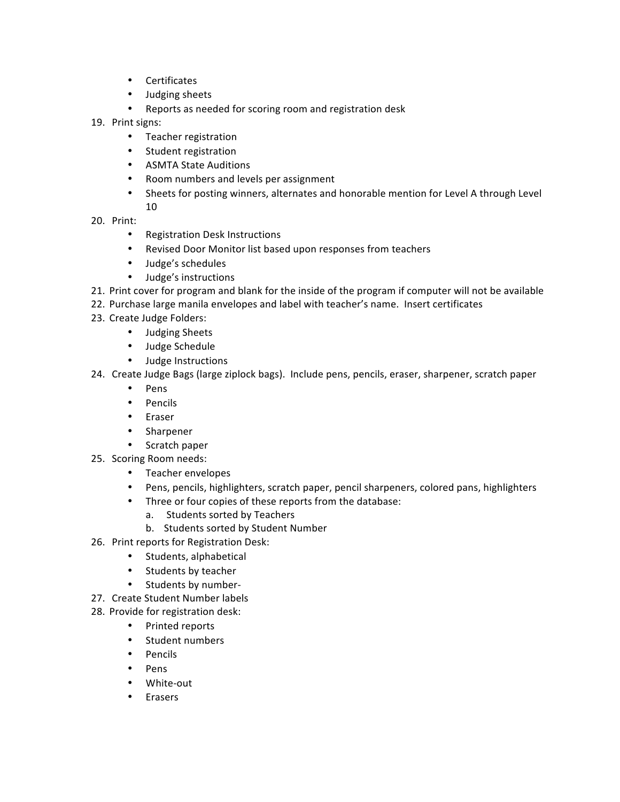- Certificates
- Judging sheets
- Reports as needed for scoring room and registration desk
- 19. Print signs:
	- Teacher registration
	- Student registration
	- ASMTA State Auditions
	- Room numbers and levels per assignment
	- Sheets for posting winners, alternates and honorable mention for Level A through Level 10
- 20. Print:
	- Registration Desk Instructions
	- Revised Door Monitor list based upon responses from teachers
	- Judge's schedules
	- Judge's instructions
- 21. Print cover for program and blank for the inside of the program if computer will not be available
- 22. Purchase large manila envelopes and label with teacher's name. Insert certificates
- 23. Create Judge Folders:
	- Judging Sheets
	- Judge Schedule
	- Judge Instructions
- 24. Create Judge Bags (large ziplock bags). Include pens, pencils, eraser, sharpener, scratch paper
	- Pens
	- Pencils
	- Eraser
	- Sharpener
	- Scratch paper
- 25. Scoring Room needs:
	- Teacher envelopes
	- Pens, pencils, highlighters, scratch paper, pencil sharpeners, colored pans, highlighters
	- Three or four copies of these reports from the database:
		- a. Students sorted by Teachers
		- b. Students sorted by Student Number
- 26. Print reports for Registration Desk:
	- Students, alphabetical
	- Students by teacher
	- Students by number-
- 27. Create Student Number labels
- 28. Provide for registration desk:
	- Printed reports
	- Student numbers
	- Pencils
	- Pens
	- White-out
	- Erasers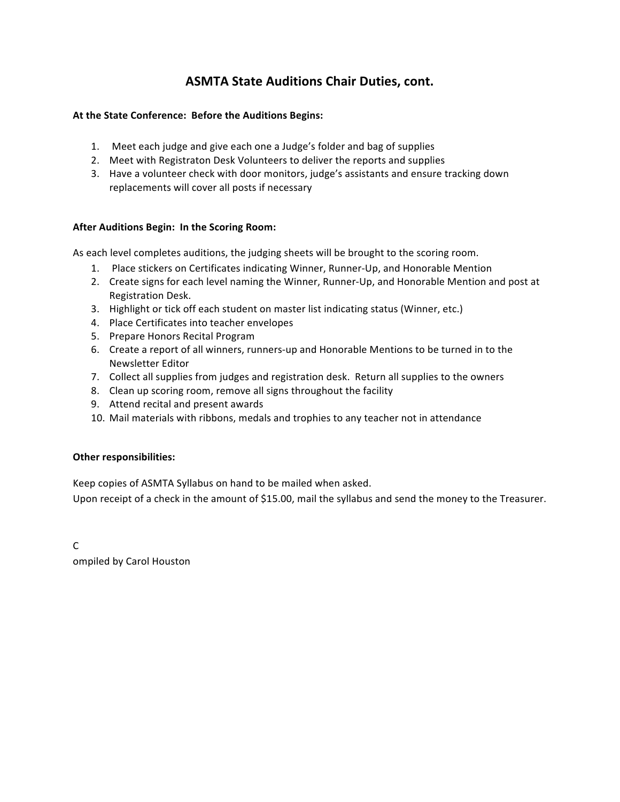# **ASMTA State Auditions Chair Duties, cont.**

# At the State Conference: Before the Auditions Begins:

- 1. Meet each judge and give each one a Judge's folder and bag of supplies
- 2. Meet with Registraton Desk Volunteers to deliver the reports and supplies
- 3. Have a volunteer check with door monitors, judge's assistants and ensure tracking down replacements will cover all posts if necessary

# After Auditions Begin: In the Scoring Room:

As each level completes auditions, the judging sheets will be brought to the scoring room.

- 1. Place stickers on Certificates indicating Winner, Runner-Up, and Honorable Mention
- 2. Create signs for each level naming the Winner, Runner-Up, and Honorable Mention and post at Registration Desk.
- 3. Highlight or tick off each student on master list indicating status (Winner, etc.)
- 4. Place Certificates into teacher envelopes
- 5. Prepare Honors Recital Program
- 6. Create a report of all winners, runners-up and Honorable Mentions to be turned in to the Newsletter Editor
- 7. Collect all supplies from judges and registration desk. Return all supplies to the owners
- 8. Clean up scoring room, remove all signs throughout the facility
- 9. Attend recital and present awards
- 10. Mail materials with ribbons, medals and trophies to any teacher not in attendance

## **Other responsibilities:**

Keep copies of ASMTA Syllabus on hand to be mailed when asked.

Upon receipt of a check in the amount of \$15.00, mail the syllabus and send the money to the Treasurer.

C ompiled by Carol Houston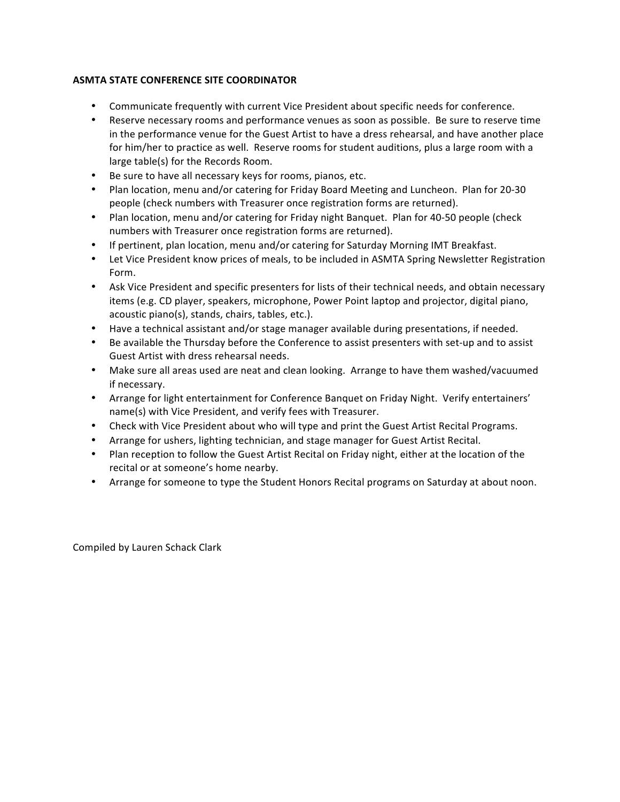# **ASMTA STATE CONFERENCE SITE COORDINATOR**

- Communicate frequently with current Vice President about specific needs for conference.
- Reserve necessary rooms and performance venues as soon as possible. Be sure to reserve time in the performance venue for the Guest Artist to have a dress rehearsal, and have another place for him/her to practice as well. Reserve rooms for student auditions, plus a large room with a large table(s) for the Records Room.
- Be sure to have all necessary keys for rooms, pianos, etc.
- Plan location, menu and/or catering for Friday Board Meeting and Luncheon. Plan for 20-30 people (check numbers with Treasurer once registration forms are returned).
- Plan location, menu and/or catering for Friday night Banquet. Plan for 40-50 people (check numbers with Treasurer once registration forms are returned).
- If pertinent, plan location, menu and/or catering for Saturday Morning IMT Breakfast.
- Let Vice President know prices of meals, to be included in ASMTA Spring Newsletter Registration Form.
- Ask Vice President and specific presenters for lists of their technical needs, and obtain necessary items (e.g. CD player, speakers, microphone, Power Point laptop and projector, digital piano, acoustic piano(s), stands, chairs, tables, etc.).
- Have a technical assistant and/or stage manager available during presentations, if needed.
- Be available the Thursday before the Conference to assist presenters with set-up and to assist Guest Artist with dress rehearsal needs.
- Make sure all areas used are neat and clean looking. Arrange to have them washed/vacuumed if necessary.
- Arrange for light entertainment for Conference Banquet on Friday Night. Verify entertainers' name(s) with Vice President, and verify fees with Treasurer.
- Check with Vice President about who will type and print the Guest Artist Recital Programs.
- Arrange for ushers, lighting technician, and stage manager for Guest Artist Recital.
- Plan reception to follow the Guest Artist Recital on Friday night, either at the location of the recital or at someone's home nearby.
- Arrange for someone to type the Student Honors Recital programs on Saturday at about noon.

Compiled by Lauren Schack Clark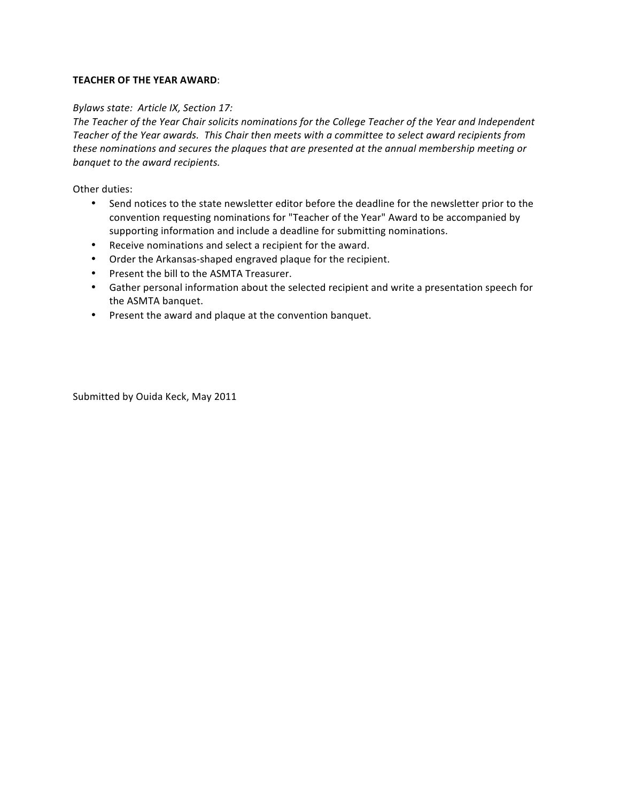#### **TEACHER OF THE YEAR AWARD:**

#### *Bylaws state: Article IX, Section 17:*

The Teacher of the Year Chair solicits nominations for the College Teacher of the Year and Independent Teacher of the Year awards. This Chair then meets with a committee to select award recipients from these nominations and secures the plaques that are presented at the annual membership meeting or *banquet to the award recipients.* 

Other duties:

- Send notices to the state newsletter editor before the deadline for the newsletter prior to the convention requesting nominations for "Teacher of the Year" Award to be accompanied by supporting information and include a deadline for submitting nominations.
- Receive nominations and select a recipient for the award.
- Order the Arkansas-shaped engraved plaque for the recipient.
- Present the bill to the ASMTA Treasurer.
- Gather personal information about the selected recipient and write a presentation speech for the ASMTA banquet.
- Present the award and plaque at the convention banquet.

Submitted by Ouida Keck, May 2011